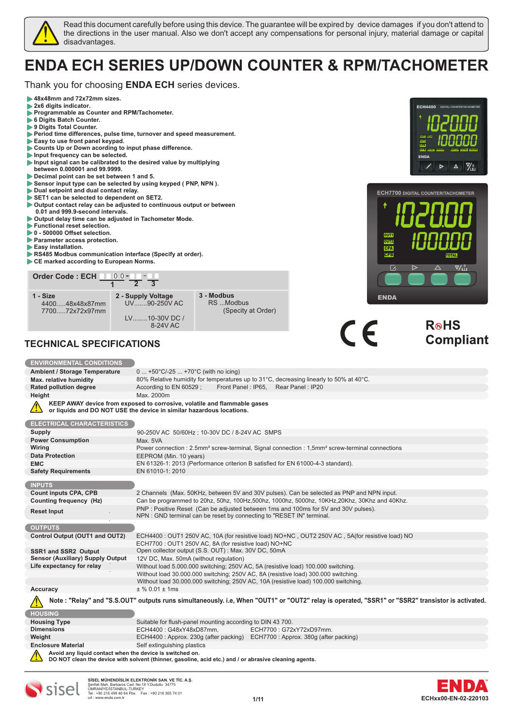

Read this document carefully before using this device. The guarantee will be expired by device damages if you don't attend to the directions in the user manual. Also we don't accept any compensations for personal injury, material damage or capital disadvantages.

# **ENDA ECH SERIES UP/DOWN COUNTER & RPM/TACHOMETER**

Thank you for choosing **ENDA ECH** series devices.

- **48x48mm and 72x72mm sizes.**
- b  **2x6 digits indicator.**
- **Programmable as Counter and RPM/Tachometer.**
- **6 Digits Batch Counter.**
- **9 Digits Total Counter.**
- **Period time differences, pulse time, turnover and speed measurement.**
- **Easy to use front panel keypad. Counts Up or Down acording to input phase difference.**
- 
- **Input frequency can be selected.**
- **Input signal can be calibrated to the desired value by multiplying between 0.000001 and 99.9999.**
- **Decimal point can be set between 1 and 5.**
- **Sensor input type can be selected by using keyped ( PNP, NPN ).**
- **Dual setpoint and dual contact relay.**
- **SET1 can be selected to dependent on SET2.**
- **Output contact relay can be adjusted to continuous output or between 0.01 and 999.9-second intervals.**
- **Output delay time can be adjusted in Tachometer Mode.**
- **Functional reset selection.**
- **1** 0 500000 Offset selection.
- **Parameter access protection.**
- **Easy installation.**
- **RS485 Modbus communication interface (Specify at order).**
- **CE marked according to European Norms.**



**or liquids and DO NOT USE the device in similar hazardous locations.**

0 ... +50°C/-25 ... +70°C (with no icing)

# **TECHNICAL SPECIFICATIONS**

**Ambient / Storage Temperature Max. relative humidity**

**ENVIRONMENTAL CONDITIONS**

**Height** Max. 2000m



**OUT1 CPA** **SCA**

**ENDA**

**CPB RESET ERROR BATCH TOTAL**

 $\Delta$ 

**ECH4400**

**DIGITAL COUNTER/TACHOMETER**

**0**

**TACHO**

| <b>ELECTRICAL CHARACTERISTICS</b>                        |                                                                                                                                                             |  |  |  |  |
|----------------------------------------------------------|-------------------------------------------------------------------------------------------------------------------------------------------------------------|--|--|--|--|
| <b>Supply</b>                                            | 90-250V AC 50/60Hz; 10-30V DC / 8-24V AC SMPS                                                                                                               |  |  |  |  |
| <b>Power Consumption</b>                                 | Max. 5VA                                                                                                                                                    |  |  |  |  |
| Wiring                                                   | Power connection: 2.5mm <sup>2</sup> screw-terminal, Signal connection: 1,5mm <sup>2</sup> screw-terminal connections                                       |  |  |  |  |
| <b>Data Protection</b>                                   | EEPROM (Min. 10 years)                                                                                                                                      |  |  |  |  |
| <b>EMC</b>                                               | EN 61326-1: 2013 (Performance criterion B satisfied for EN 61000-4-3 standard).                                                                             |  |  |  |  |
| <b>Safety Requirements</b>                               | EN 61010-1: 2010                                                                                                                                            |  |  |  |  |
|                                                          |                                                                                                                                                             |  |  |  |  |
| <b>INPUTS</b>                                            |                                                                                                                                                             |  |  |  |  |
| <b>Count inputs CPA, CPB</b>                             | 2 Channels (Max. 50KHz, between 5V and 30V pulses). Can be selected as PNP and NPN input.                                                                   |  |  |  |  |
| Counting frequency (Hz)                                  | Can be programmed to 20hz, 50hz, 100Hz, 500hz, 1000hz, 5000hz, 10KHz, 20Khz, 30Khz and 40Khz.                                                               |  |  |  |  |
| <b>Reset Input</b>                                       | PNP : Positive Reset (Can be adjusted between 1ms and 100ms for 5V and 30V pulses).<br>NPN: GND terminal can be reset by connecting to "RESET IN" terminal. |  |  |  |  |
|                                                          |                                                                                                                                                             |  |  |  |  |
| <b>OUTPUTS</b>                                           |                                                                                                                                                             |  |  |  |  |
| Control Output (OUT1 and OUT2)                           | ECH4400: OUT1 250V AC, 10A (for resistive load) NO+NC, OUT2 250V AC, 5A(for resistive load) NO                                                              |  |  |  |  |
|                                                          | ECH7700: OUT1 250V AC, 8A (for resistive load) NO+NC                                                                                                        |  |  |  |  |
| SSR1 and SSR2 Output                                     | Open collector output (S.S. OUT): Max. 30V DC, 50mA                                                                                                         |  |  |  |  |
| <b>Sensor (Auxiliary) Supply Output</b>                  | 12V DC, Max. 50mA (without regulation)                                                                                                                      |  |  |  |  |
| Life expectancy for relay                                | Without load 5.000.000 switching; 250V AC, 5A (resistive load) 100.000 switching.                                                                           |  |  |  |  |
|                                                          | Without load 30.000.000 switching; 250V AC, 8A (resistive load) 300.000 switching.                                                                          |  |  |  |  |
|                                                          | Without load 30.000.000 switching; 250V AC, 10A (resistive load) 100.000 switching.                                                                         |  |  |  |  |
| Accuracy                                                 | $±$ % 0.01 $±$ 1ms                                                                                                                                          |  |  |  |  |
|                                                          | Note : "Relay" and "S.S.OUT" outputs runs simultaneously. i.e, When "OUT1" or "OUT2" relay is operated, "SSR1" or "SSR2" transistor is activated.           |  |  |  |  |
|                                                          |                                                                                                                                                             |  |  |  |  |
| <b>HOUSING</b>                                           |                                                                                                                                                             |  |  |  |  |
| <b>Housing Type</b>                                      | Suitable for flush-panel mounting according to DIN 43 700.                                                                                                  |  |  |  |  |
| <b>Dimensions</b>                                        | ECH4400: G48xY48xD87mm.<br>ECH7700: G72xY72xD97mm.                                                                                                          |  |  |  |  |
| Weight                                                   | ECH4400: Approx. 230g (after packing) ECH7700: Approx. 380g (after packing)                                                                                 |  |  |  |  |
| <b>Enclosure Material</b>                                | Self extinguishing plastics                                                                                                                                 |  |  |  |  |
| Avoid any liquid contact when the device is switched on. |                                                                                                                                                             |  |  |  |  |





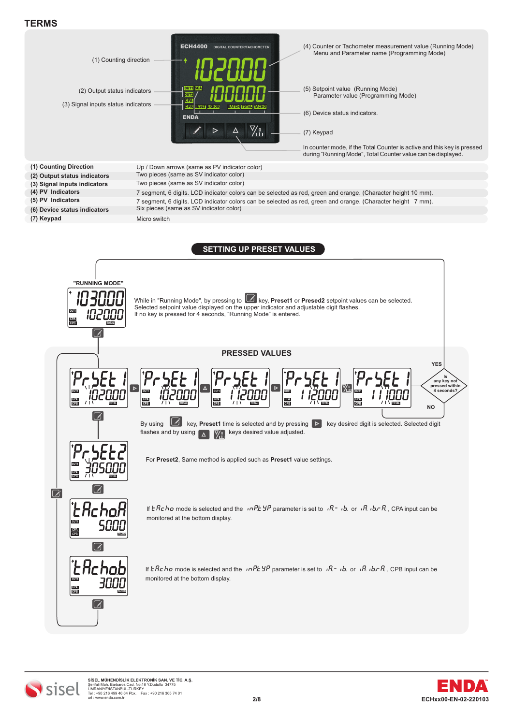



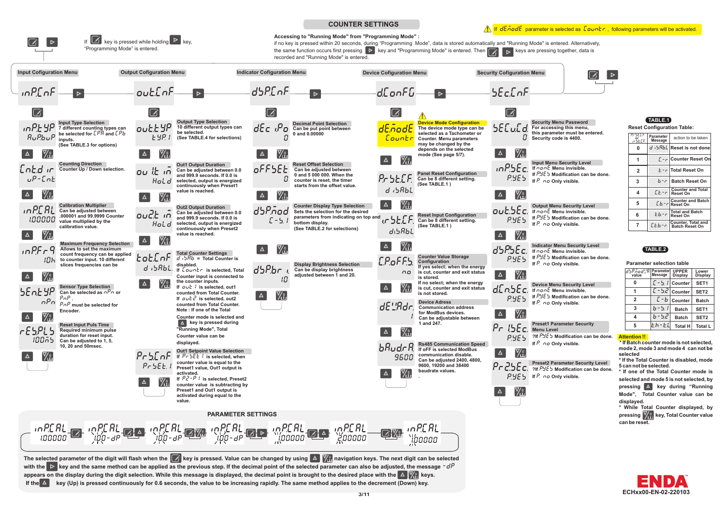

The selected parameter of the digit will flash when the  $\mathcal{C}$  key is pressed. Value can be changed by using  $\Delta$   $\mathcal{V}_{\text{eff}}$  navigation keys. The next digit can be selected with the  $\triangleright$  key and the same method can be applied as the previous step. If the decimal point of the selected parameter can also be adjusted, the message  $-\frac{d}{p}$ appears on the display during the digit selection. While this message is displayed, the decimal point is brought to the desired place with the **A M**, keys. If the  $\Delta$  key (Up) is pressed continuously for 0.6 seconds, the value to be increasing rapidly. The same method applies to the decrement (Down) key.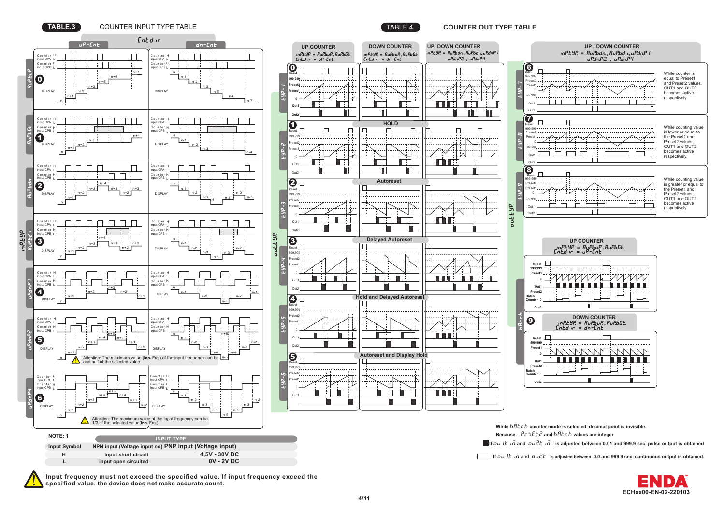

**TABLE.3** COUNTER INPUT TYPE TABLE TABLE.4 **COUNTER OUT TYPE TABLE**





**[ECHxx00-EN-02-220103](https://enda.com/en/automation/counter-tachometer/counter-tachometer/)** 

**TM**

**Input frequency must not exceed the specified value. If input frequency exceed the specified value, the device does not make accurate count.**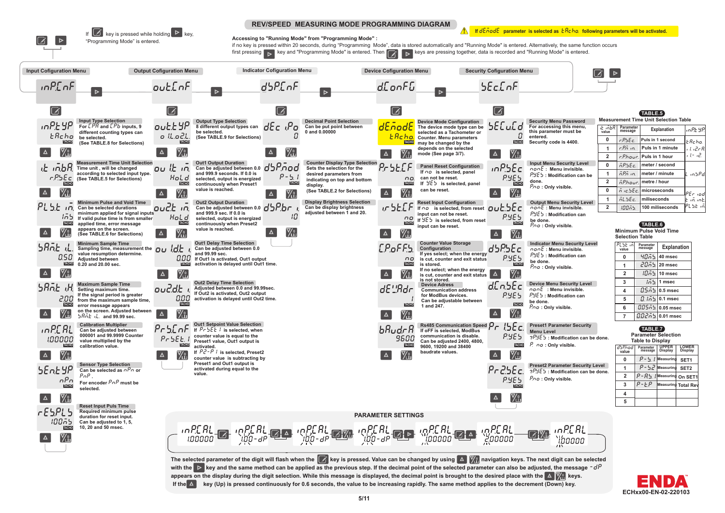

appears on the display during the digit selection. While this message is displayed, the decimal point is brought to the desired place with the **A** Mill keys. If the  $\Delta$  key (Up) is pressed continuously for 0.6 seconds, the value to be increasing rapidly. The same method applies to the decrement (Down) key.

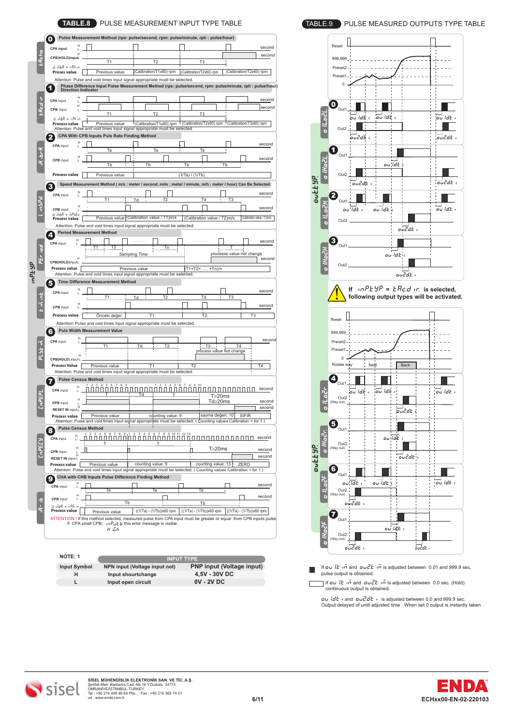| н                                                                          |                                                     |                                                                                                                                                                               |                             |                                      |                                                                    |
|----------------------------------------------------------------------------|-----------------------------------------------------|-------------------------------------------------------------------------------------------------------------------------------------------------------------------------------|-----------------------------|--------------------------------------|--------------------------------------------------------------------|
| <b>CPA input</b>                                                           |                                                     |                                                                                                                                                                               |                             |                                      | second                                                             |
| CPB(HOLD)input                                                             |                                                     |                                                                                                                                                                               |                             |                                      | second                                                             |
| it inbR = cBn in                                                           | T <sub>1</sub>                                      | T <sub>2</sub>                                                                                                                                                                | T3                          |                                      |                                                                    |
| Proses value                                                               | Previous value                                      | (Calibration/T1x60) rpm                                                                                                                                                       | (Calibration/T2x60) rpm     | (Calibration/T2x60) rpm              |                                                                    |
|                                                                            |                                                     | Attention: Pulse and void times input signal appropriate must be selected.                                                                                                    |                             |                                      |                                                                    |
|                                                                            |                                                     | Phase Difference Input Pulse Measurement Method (rps: pulse/second, rpm: pulse/minute, rph : pulse/hour)<br>Direction Indicator                                               |                             |                                      |                                                                    |
| н                                                                          |                                                     |                                                                                                                                                                               |                             |                                      |                                                                    |
| <b>CPA</b> Input<br>L<br>н                                                 |                                                     |                                                                                                                                                                               |                             |                                      | second                                                             |
| <b>CPB</b> Input                                                           |                                                     |                                                                                                                                                                               |                             |                                      | second                                                             |
| ik iñbR = r.Pñ in                                                          | T <sub>1</sub>                                      | T <sub>2</sub>                                                                                                                                                                | T <sub>3</sub>              |                                      |                                                                    |
| <b>Process value</b>                                                       | Previous value                                      | <sup>1</sup> (Calibration/T1x60) rpm <sup>1</sup> (Calibration/T2x60) rpm                                                                                                     |                             | <sup>1</sup> (Calibration/T3x60) rpm |                                                                    |
|                                                                            | CPA With CPB Inputs Puls Rate Finding Method        | Attention: Pulse and void times input signal appropriate must be selected.                                                                                                    |                             |                                      |                                                                    |
|                                                                            |                                                     |                                                                                                                                                                               |                             |                                      |                                                                    |
| <b>CPA</b> input                                                           | Та                                                  | Ta                                                                                                                                                                            | Та                          |                                      | second                                                             |
|                                                                            |                                                     |                                                                                                                                                                               |                             |                                      |                                                                    |
| <b>CPB</b> input                                                           | Tb                                                  | Tb                                                                                                                                                                            | Tb                          | Tb                                   | second                                                             |
|                                                                            |                                                     |                                                                                                                                                                               |                             |                                      |                                                                    |
| <b>Process value</b>                                                       | Previous value                                      |                                                                                                                                                                               | (1/Ta) / (1/Tb)             |                                      |                                                                    |
| з                                                                          |                                                     | Speed Measurement Method (m/s : meter / second, m/m : meter / minute, m/h : meter / hour) Can Be Selected                                                                     |                             |                                      |                                                                    |
|                                                                            |                                                     |                                                                                                                                                                               |                             |                                      | second                                                             |
| CPA input                                                                  | T1                                                  | T <sub>2</sub><br>Ιd                                                                                                                                                          | Td                          | T <sub>3</sub>                       |                                                                    |
| CPB input                                                                  |                                                     |                                                                                                                                                                               |                             |                                      | second                                                             |
| ıt iñЫ. = ñP.5Ec.                                                          |                                                     |                                                                                                                                                                               |                             |                                      |                                                                    |
| Process value                                                              |                                                     | Previous value (Calibration value / T1)m/s                                                                                                                                    | (Calibration value / T2)m/s |                                      | (Calibration value / T3)m/s                                        |
|                                                                            |                                                     | Attention: Pulse and void times input signal appropriate must be selected.                                                                                                    |                             |                                      |                                                                    |
|                                                                            | <b>Period Measurement Method</b>                    |                                                                                                                                                                               |                             |                                      |                                                                    |
| <b>CPA</b> input                                                           |                                                     | .                                                                                                                                                                             |                             |                                      | second                                                             |
|                                                                            | Т1<br>T2                                            | Tn                                                                                                                                                                            |                             | processs value not change            |                                                                    |
|                                                                            |                                                     | Sampling Time                                                                                                                                                                 |                             |                                      | second                                                             |
| CPB(HOLD)inputL                                                            |                                                     |                                                                                                                                                                               |                             |                                      |                                                                    |
| <b>Process value</b>                                                       |                                                     | Previous value<br>Attention: Pulse and void times input signal appropriate must be selected.                                                                                  | (T1+T2+<br>$+Tn$ )/n        |                                      |                                                                    |
|                                                                            | <b>Time Difference Measurement Method</b>           |                                                                                                                                                                               |                             |                                      |                                                                    |
|                                                                            |                                                     |                                                                                                                                                                               |                             |                                      |                                                                    |
| CPA input                                                                  | Т1                                                  | T2<br>Тr                                                                                                                                                                      | Td                          | T3                                   | second                                                             |
| н                                                                          |                                                     |                                                                                                                                                                               |                             |                                      | second                                                             |
| <b>CPB</b> input                                                           |                                                     |                                                                                                                                                                               |                             |                                      |                                                                    |
| <b>Process value</b>                                                       | Önceki değer                                        | Τ1                                                                                                                                                                            | T2.                         | T3                                   |                                                                    |
|                                                                            |                                                     |                                                                                                                                                                               |                             |                                      |                                                                    |
| Attention: Pulse and void times input signal appropriate must be selected. |                                                     |                                                                                                                                                                               |                             |                                      |                                                                    |
| 6                                                                          | <b>Puls Width Measurement Value</b>                 |                                                                                                                                                                               |                             |                                      |                                                                    |
| CPA input                                                                  |                                                     |                                                                                                                                                                               |                             |                                      |                                                                    |
|                                                                            | Τ1                                                  | T <sub>2</sub><br>Td                                                                                                                                                          | T3                          | T <sub>4</sub>                       |                                                                    |
| н                                                                          |                                                     |                                                                                                                                                                               | process value not change    |                                      |                                                                    |
| CPB(HOLD) input L                                                          |                                                     |                                                                                                                                                                               |                             |                                      |                                                                    |
| <b>Process Value</b>                                                       | Provious value                                      | T1                                                                                                                                                                            | T2                          |                                      | T4                                                                 |
| <b>Pulse Census Method</b>                                                 |                                                     | Attention: Pulse and void times input signal appropriate must be selected.                                                                                                    |                             |                                      |                                                                    |
|                                                                            |                                                     |                                                                                                                                                                               |                             |                                      |                                                                    |
| CPA input                                                                  | П                                                   | NN N N 1111<br>Ш<br>Td                                                                                                                                                        | .                           |                                      |                                                                    |
| н                                                                          |                                                     |                                                                                                                                                                               | T≥20ms<br>Td≥20ms           |                                      |                                                                    |
| <b>CPB</b> input<br>L                                                      |                                                     |                                                                                                                                                                               |                             |                                      |                                                                    |
| RESET IN input L<br>Process value                                          | Provious value                                      | counting value: 9                                                                                                                                                             | sayma değeri: 10            | <b>SIFIR</b>                         |                                                                    |
|                                                                            |                                                     | Attention: Pulse and void times input signal appropriate must be selected. (Counting values Calibration = for 1)                                                              |                             |                                      |                                                                    |
| Pulse Census Method                                                        |                                                     |                                                                                                                                                                               |                             |                                      |                                                                    |
| н                                                                          |                                                     |                                                                                                                                                                               | חחחחח                       |                                      |                                                                    |
| <b>CPA</b> input                                                           |                                                     |                                                                                                                                                                               |                             |                                      |                                                                    |
| н<br><b>CPB</b> input                                                      |                                                     |                                                                                                                                                                               | T≥20ms                      |                                      |                                                                    |
| ı.<br>RESET IN input L                                                     |                                                     |                                                                                                                                                                               |                             |                                      |                                                                    |
| Process value                                                              | Previous value                                      | counting value: 9                                                                                                                                                             | counting value: 13          | ZERO                                 |                                                                    |
|                                                                            |                                                     | Attention: Pulse and void times input signal appropriate must be selected. (Counting values Calibration = for 1)                                                              |                             |                                      |                                                                    |
|                                                                            | CHA with CHB Inputs Pulse Difference Finding Method |                                                                                                                                                                               |                             |                                      |                                                                    |
| CPA input                                                                  |                                                     |                                                                                                                                                                               |                             |                                      |                                                                    |
| H                                                                          | Та                                                  | Та                                                                                                                                                                            | Та                          |                                      | second<br>second<br>second<br>second<br>second<br>second<br>second |
| <b>CPB</b> input                                                           | Тb                                                  |                                                                                                                                                                               | Тb                          |                                      | second                                                             |
| it iñbR = r.Pñ in                                                          |                                                     |                                                                                                                                                                               |                             |                                      |                                                                    |
| Process value                                                              | Previous value                                      | ((1/Ta) - (1/Tb))x60 rpm                                                                                                                                                      | ((1/Ta) - (1/Tb))x60 rpm    | ((1/Ta) - (1/Tb))x60 rpm             |                                                                    |
|                                                                            | н .Бһ                                               | ATTENTION ! If this method selected, measured pulse from CPA input must be greater or equal from CPB inputs pulse<br>If CPA small CPB; $nPuEb$ this error message is visible. |                             |                                      |                                                                    |

| NOTE: 1             | <b>INPUT TYPE</b>             |                                  |  |  |
|---------------------|-------------------------------|----------------------------------|--|--|
| <b>Input Symbol</b> | NPN input (Voltage input not) | <b>PNP</b> input (Voltage input) |  |  |
| н                   | Input shourtchange            | 4.5V - 30V DC                    |  |  |
|                     | Input open circuit            | $0V - 2VDC$                      |  |  |





 $\Box$ If  $o$ *u I*.*t*  $\cdot$  *n* and  $o$ *u cl.*  $\cdot$  *n* is adjusted between 0.01 and 999.9 sec. pulse output is obtained.

If  $\sigma v$  i.*t* in and  $\sigma v c'$ , the is adjusted between 0.0 sec. (Hold) continuous output is obtained.

**ou1.dti** and **ou2.dti** Output delayed of until adjusted time . When set 0 output is instantly taken is adjusted between 0.0 and 999.9 sec.



 $\sqrt{ }$ 

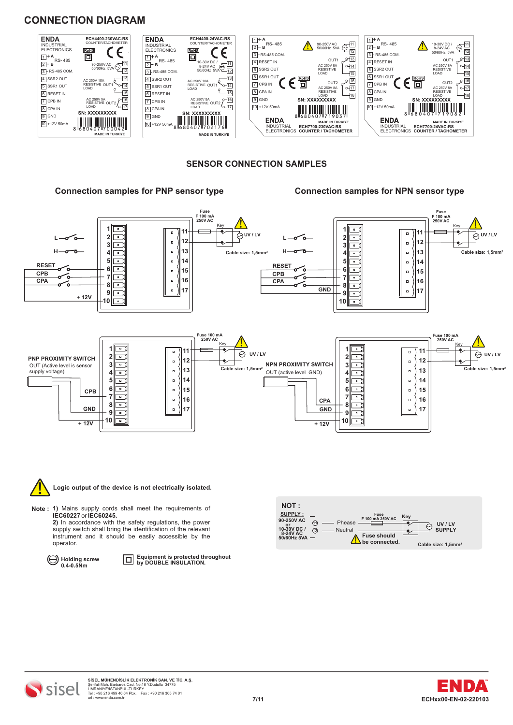# **CONNECTION DIAGRAM**



#### **SENSOR CONNECTION SAMPLES**

#### **Connection samples for PNP sensor type Connection samples for NPN sensor type**





#### **Logic output of the device is not electrically isolated.**

- **Note : 1)** Mains supply cords shall meet the requirements of **IEC60227** or **IEC60245. 2)** In accordance with the safety regulations, the power
	- supply switch shall bring the identification of the relevant instrument and it should be easily accessible by the operator.



**Equipment is protected throughout by DOUBLE INSULATION.**





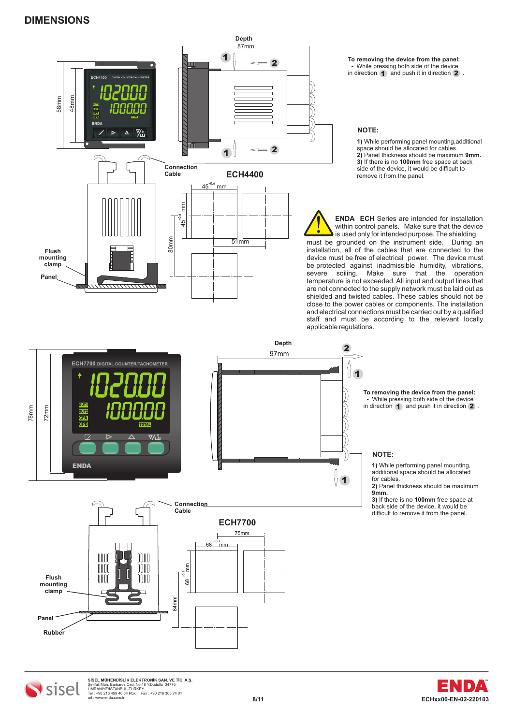

**-** While pressing both side of the device in direction **1** and push it in direction **2**. **To removing the device from the panel: 1** and push it in direction **2** 

**1)** While performing panel mounting,additional space should be allocated for cables. **2)** Panel thickness should be maximum **9mm. 3)** If there is no **100mm** free space at back side of the device, it would be difficult to remove it from the panel.

**ENDA ECH** Series are intended for installation within control panels. Make sure that the device is used only for intended purpose. The shielding must be grounded on the instrument side. During an installation, all of the cables that are connected to the device must be free of electrical power. The device must be protected against inadmissible humidity, vibrations, severe soiling. Make sure that the operation temperature is not exceeded. All input and output lines that are not connected to the supply network must be laid out as shielded and twisted cables. These cables should not be close to the power cables or components. The installation and electrical connections must be carried out by a qualified staff and must be according to the relevant locally



**TM**

SISEL MÜHENDISLİK ELEKTRONIK SAN. VE TİC. A.Ş.<br>Şerifali Mah. Barbaros Cad. No:18 Y.Dudullu 34775<br>Tel : +90 216 499 46 64 Pbx. Fax : +90 216 365 74 01<br>url : www.enda.com.tr<br>url : www.enda.com.tr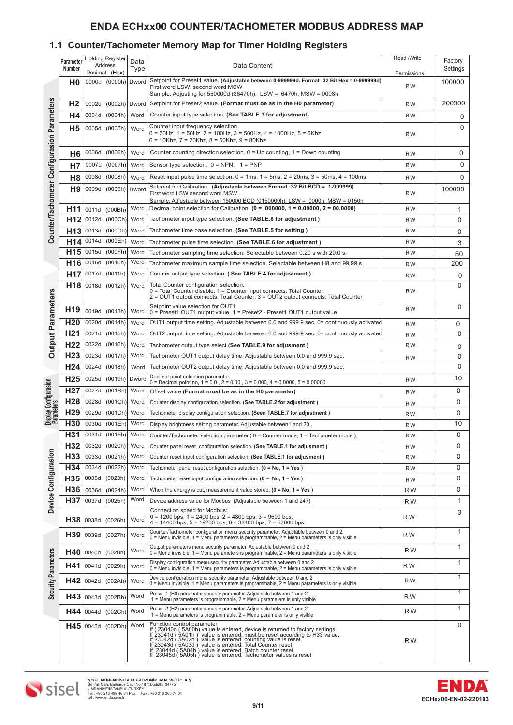# **ENDA ECHxx00 COUNTER/TACHOMETER MODBUS ADDRESS MAP**

# **1.1 Counter/Tachometer Memory Map for Timer Holding Registers**

|                                             | Parameter       |                                                                                                                                                                                                                | <b>Holding Register</b>  | Data                                                              |                                                                                                                                                                                                                                                                    | Read /Write        | Factory     |
|---------------------------------------------|-----------------|----------------------------------------------------------------------------------------------------------------------------------------------------------------------------------------------------------------|--------------------------|-------------------------------------------------------------------|--------------------------------------------------------------------------------------------------------------------------------------------------------------------------------------------------------------------------------------------------------------------|--------------------|-------------|
|                                             | Number          |                                                                                                                                                                                                                | Address<br>Decimal (Hex) | Type                                                              | Data Content                                                                                                                                                                                                                                                       |                    | Settings    |
|                                             | H0              |                                                                                                                                                                                                                | 0000d (0000h)            | Dword                                                             | Setpoint for Preset1 value. (Adjustable between 0-999999d. Format :32 Bit Hex = 0-999999d)<br>First word LSW, second word MSW<br>Sample: Adjusting for 550000d (86470h); LSW = $6470h$ , MSW = 0008h                                                               | Permissions<br>R W | 100000      |
|                                             | H <sub>2</sub>  |                                                                                                                                                                                                                | 0002d (0002h)            | Dword                                                             | Setpoint for Preset2 value. (Format must be as in the H0 parameter)                                                                                                                                                                                                | R W                | 200000      |
|                                             |                 | 0004d                                                                                                                                                                                                          | (0004h)                  | Word                                                              | Counter input type selection. (See TABLE.3 for adjustment)                                                                                                                                                                                                         |                    |             |
|                                             | Η4              |                                                                                                                                                                                                                |                          |                                                                   |                                                                                                                                                                                                                                                                    | R W                | 0           |
| Counter/Tachometer Configurasion Parameters | <b>H5</b>       |                                                                                                                                                                                                                | 0005d (0005h)            | Word                                                              | Counter input frequency selection.<br>$0 = 20$ Hz, 1 = 50Hz, 2 = 100Hz, 3 = 500Hz, 4 = 1000Hz, 5 = 5Khz<br>$6 = 10$ Khz, $7 = 20$ Khz, $8 = 50$ Khz, $9 = 80$ Khz                                                                                                  | R W                | 0           |
|                                             | H6              |                                                                                                                                                                                                                | 0006d (0006h)            | Word                                                              | Counter counting direction selection. $0 = Up$ counting, $1 = Down$ counting                                                                                                                                                                                       | R W                | 0           |
|                                             | <b>H7</b>       | 0007d                                                                                                                                                                                                          | (0007h)                  | Word                                                              | Sensor type selection. $0 = NPN$ , $1 = PNP$                                                                                                                                                                                                                       | R W                | 0           |
|                                             | H8              | 0008d                                                                                                                                                                                                          | (0008h)                  | Word                                                              | Reset input pulse time selection. $0 = 1$ ms, $1 = 5$ ms, $2 = 20$ ms, $3 = 50$ ms, $4 = 100$ ms                                                                                                                                                                   | R W                | $\mathbf 0$ |
|                                             | H <sub>9</sub>  |                                                                                                                                                                                                                | 0009d (0009h)            | Dword                                                             | Setpoint for Calibration. (Adjustable between Format :32 Bit BCD = 1-999999)<br>First word LSW second word MSW<br>Sample: Adjustable between 150000 BCD (0150000h); LSW = 0000h, MSW = 0150h                                                                       | R W                | 100000      |
|                                             | H11             |                                                                                                                                                                                                                | 0011d (000Bh)            | Word                                                              | Decimal point selection for Calibration. $(0 = .000000, 1 = 0.00000, 2 = 00.0000)$                                                                                                                                                                                 | R W                | 1           |
|                                             | H <sub>12</sub> | 0012d                                                                                                                                                                                                          | (000Ch)                  | Word                                                              | Tachometer input type selection. (See TABLE.8 for adjustment)                                                                                                                                                                                                      | R W                | $\mathbf 0$ |
|                                             | H <sub>13</sub> | 0013d                                                                                                                                                                                                          | (000Dh)                  | Word                                                              | Tachometer time base selection. (See TABLE.5 for setting)                                                                                                                                                                                                          | R W                | $\mathbf 0$ |
|                                             |                 | 0014d                                                                                                                                                                                                          |                          |                                                                   |                                                                                                                                                                                                                                                                    |                    |             |
|                                             | H14             |                                                                                                                                                                                                                | (000Eh)                  | Word                                                              | Tachometer pulse time selection. (See TABLE.6 for adjustment)                                                                                                                                                                                                      | R W                | 3           |
|                                             | H <sub>15</sub> | 0015d                                                                                                                                                                                                          | (000Fh)                  | Word                                                              | Tachometer sampling time selection. Selectable between 0.20 s with 20.0 s.                                                                                                                                                                                         | R W                | 50          |
|                                             | H <sub>16</sub> | 0016d                                                                                                                                                                                                          | (0010h)                  | Word                                                              | Tachometer maximum sample time selection. Selectable between H8 and 99.99 s                                                                                                                                                                                        | R W                | 200         |
|                                             | H <sub>17</sub> | 0017d                                                                                                                                                                                                          | (0011h)                  | Word                                                              | Counter output type selection. (See TABLE.4 for adjustment)                                                                                                                                                                                                        | R W                | 0           |
|                                             | H18             |                                                                                                                                                                                                                | 0018d (0012h)            | Word                                                              | Total Counter configuration selection.<br>0 = Total Counter disable, 1 = Counter input connects: Total Counter<br>2 = OUT1 output connects: Total Counter, 3 = OUT2 output connects: Total Counter                                                                 | R W                | 0           |
| <b>Output Parameters</b>                    | H <sub>19</sub> |                                                                                                                                                                                                                | 0019d (0013h)            | Word                                                              | Setpoint value selection for OUT1<br>0 = Preset1 OUT1 output value, 1 = Preset2 - Preset1 OUT1 output value                                                                                                                                                        | R W                | 0           |
|                                             | H <sub>20</sub> | 0020d                                                                                                                                                                                                          | (0014h)                  | Word                                                              | OUT1 output time setting. Adjustable between 0.0 and 999.9 sec. 0= continuously activated                                                                                                                                                                          | R W                | 0           |
|                                             | H <sub>21</sub> | 0021d                                                                                                                                                                                                          | (0015h)                  | Word                                                              | OUT2 output time setting. Adjustable between 0.0 and 999.9 sec. 0= continuously activated                                                                                                                                                                          | R W                | 0           |
|                                             | H <sub>22</sub> | 0022d                                                                                                                                                                                                          | (0016h)                  | Word<br>Tachometer output type select (See TABLE.9 for adjusment) |                                                                                                                                                                                                                                                                    | R W                | 0           |
|                                             |                 | H <sub>23</sub><br>0023d<br>(0017h)<br>Word<br>Tachometer OUT1 output delay time. Adjustable between 0.0 and 999.9 sec.                                                                                        |                          | R W                                                               | 0                                                                                                                                                                                                                                                                  |                    |             |
|                                             | H <sub>24</sub> | 0024d                                                                                                                                                                                                          | (0018h)                  | Word                                                              | Tachometer OUT2 output delay time. Adjustable between 0.0 and 999.9 sec.                                                                                                                                                                                           |                    | 0           |
|                                             | H <sub>25</sub> | 0025d                                                                                                                                                                                                          | (0019h)                  | Dword                                                             | Decimal point selection parameter.                                                                                                                                                                                                                                 |                    | 10          |
| Display Configurasion<br>Parameters         |                 |                                                                                                                                                                                                                |                          |                                                                   | $0 =$ Decimal point no, $1 = 0.0$ , $2 = 0.00$ , $3 = 0.000$ , $4 = 0.0000$ , $5 = 0.00000$                                                                                                                                                                        | R W<br>R W         |             |
|                                             | H <sub>27</sub> | 0027d                                                                                                                                                                                                          | (001Bh)                  |                                                                   | Word<br>Offset value (Format must be as in the H0 parameter)                                                                                                                                                                                                       |                    | 0           |
|                                             | H <sub>28</sub> | 0028d                                                                                                                                                                                                          | (001Ch)                  | Word                                                              | Counter display configuration selection. (See TABLE.2 for adjustment)                                                                                                                                                                                              | R W                | 0           |
|                                             | H <sub>29</sub> | 0029d                                                                                                                                                                                                          | (001Dh)                  | Word                                                              | Tachometer display configuration selection. (Seen TABLE.7 for adjustment)                                                                                                                                                                                          | R W                | 0           |
|                                             | H30             | 0030d                                                                                                                                                                                                          | (001Eh)                  | Word                                                              | Display brightness setting parameter. Adjustable between1 and 20.                                                                                                                                                                                                  | R W                | 10          |
|                                             | H31             | 0031d                                                                                                                                                                                                          | (001Fh)                  | Word                                                              | Counter/Tachometer selection parameter (0 = Counter mode, 1 = Tachometer mode).                                                                                                                                                                                    | R W                | $\mathbf 0$ |
|                                             | H <sub>32</sub> |                                                                                                                                                                                                                | 0032d (0020h)            | Word                                                              | Counter panel reset configuration selection. (See TABLE.1 for adjusment)                                                                                                                                                                                           | R W                | 0           |
| Device Configurasion                        | H33             |                                                                                                                                                                                                                | 0033d (0021h)            | Word                                                              | Counter reset input configuration selection. (See TABLE.1 for adjusment)                                                                                                                                                                                           | R W                | 0           |
|                                             | H34             |                                                                                                                                                                                                                | 0034d (0022h)            | Word                                                              | Tachometer panel reset configuration selection. $(0 = No, 1 = Yes)$                                                                                                                                                                                                | R W                | 0           |
|                                             | H35             |                                                                                                                                                                                                                | 0035d (0023h)            | Word                                                              | Tachometer reset input configuration selection. $(0 = No, 1 = Yes)$                                                                                                                                                                                                | R W                | 0           |
|                                             | H <sub>36</sub> | 0036d                                                                                                                                                                                                          | (0024h)                  | Word                                                              | When the energy is cut, measurement value stored. $(0 = No, 1 = Yes)$                                                                                                                                                                                              | R W                | 0           |
|                                             | H <sub>37</sub> |                                                                                                                                                                                                                | 0037d (0025h)            | Word                                                              |                                                                                                                                                                                                                                                                    |                    | 1           |
|                                             |                 |                                                                                                                                                                                                                |                          |                                                                   | Device address value for Modbus (Adjustable between 1 and 247)<br>Connection speed for Modbus:                                                                                                                                                                     | R W                |             |
|                                             | H38             |                                                                                                                                                                                                                | 0038d (0026h)            | Word                                                              | $0 = 1200$ bps, $1 = 2400$ bps, $2 = 4800$ bps, $3 = 9600$ bps,<br>$4 = 14400$ bps, $5 = 19200$ bps, $6 = 38400$ bps, $7 = 57600$ bps                                                                                                                              | R W                | 3           |
|                                             | H39             |                                                                                                                                                                                                                | 0039d (0027h)            | Word                                                              | Counter/Tachometer configuration menu security parameter. Adjustable between 0 and 2.<br>0 = Menu invisible, 1 = Menu parameters is programmable, 2 = Menu parameters is only visible                                                                              | R W                | 1           |
|                                             | H40             | Output parameters menu security parameter. Adjustable between 0 and 2<br>Word<br>0040d (0028h)<br>$0 =$ Menu invisible, 1 = Menu parameters is programmable, 2 = Menu parameters is only visible               |                          | R W                                                               | 1                                                                                                                                                                                                                                                                  |                    |             |
|                                             |                 | Display configuration menu security parameter. Adjustable between 0 and 2<br>$H41$ 0041d (0029h)<br>Word<br>$0 =$ Menu invisible, $1 =$ Menu parameters is programmable, $2 =$ Menu parameters is only visible |                          | R W                                                               | 1                                                                                                                                                                                                                                                                  |                    |             |
| Security Parameters                         |                 | Device configuration menu security parameter. Adjustable between 0 and 2<br>$H42$ 0042d (002Ah)<br>Word<br>$0 =$ Menu invisible, 1 = Menu parameters is programmable, 2 = Menu parameters is only visible      |                          | R W                                                               | 1                                                                                                                                                                                                                                                                  |                    |             |
|                                             |                 |                                                                                                                                                                                                                | H43 0043d (002Bh)        | Word                                                              | Preset 1 (H0) parameter security parameter. Adjustable between 1 and 2<br>$1$ = Menu parameters is programmable, $2$ = Menu parameters is only visible                                                                                                             | R W                | 1           |
|                                             |                 |                                                                                                                                                                                                                | H44 0044d (002Ch)        | Word                                                              | Preset 2 (H2) parameter security parameter. Adjustable between 1 and 2<br>$1$ = Menu parameters is programmable, $2$ = Menu parameter is only visible                                                                                                              | R W                | 1           |
|                                             |                 |                                                                                                                                                                                                                | H45 0045d (002Dh)        | Word                                                              | Function control parameter<br>Puristion control parameteri<br>If (23040d (5A00h) value is entered, device is returned to factory settings.<br>If 23041d (5A01h) value is entered, counting value is enset according to H33 value.<br>If 23042d (5A02h) value is en | R W                | 0           |



SISEL MÜHENDISLİK ELEKTRONIK SAN. VE TİC. A.Ş.<br>Şerifali Mah. Barbaros Cad. No:18 Y.Dudullu 34775<br>Tel : +90 216 499 46 64 Pbx. Fax : +90 216 365 74 01<br>url : www.enda.com.tr<br>url : www.enda.com.tr

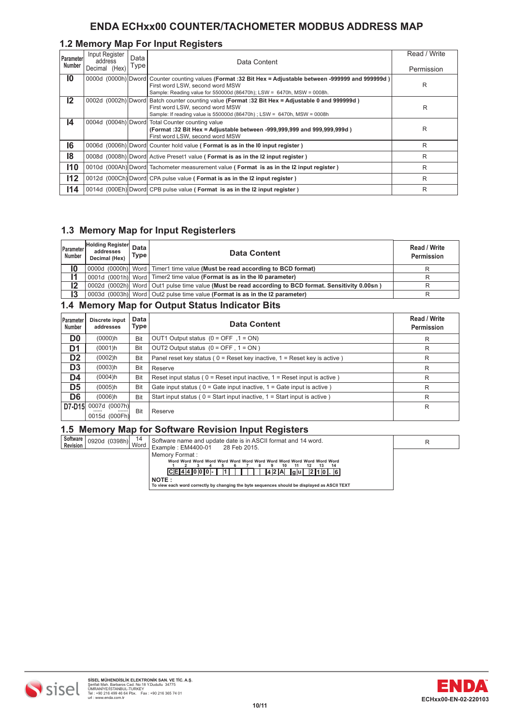# **ENDA ECHxx00 COUNTER/TACHOMETER MODBUS ADDRESS MAP**

# **1.2 Memory Map For Input Registers**

| Parameter<br>Number | Input Register<br>address<br>Decimal (Hex) | Data<br>Type | Data Content                                                                                                                                                                                                          | Read / Write<br>Permission |
|---------------------|--------------------------------------------|--------------|-----------------------------------------------------------------------------------------------------------------------------------------------------------------------------------------------------------------------|----------------------------|
| 10                  |                                            |              | 0000d (0000h) Dword Counter counting values (Format: 32 Bit Hex = Adjustable between -999999 and 999999d)<br>First word LSW, second word MSW<br>Sample: Reading value for 550000d (86470h); LSW = 6470h, MSW = 0008h. | R                          |
| $12 \,$             |                                            |              | 0002d (0002h) Dword Batch counter counting value (Format :32 Bit Hex = Adjustable 0 and 999999d)<br>First word LSW, second word MSW<br>Sample: If reading value is $550000d$ (86470h); LSW = 6470h, MSW = 0008h       | R                          |
| 14                  |                                            |              | 0004d (0004h) Dword Total Counter counting value<br>(Format: 32 Bit Hex = Adjustable between -999,999,999 and 999,999,999d)<br>First word LSW, second word MSW                                                        | R                          |
| 16                  |                                            |              | 0006d (0006h) Dword Counter hold value (Format is as in the 10 input register)                                                                                                                                        | R                          |
| 18                  |                                            |              | 0008d (0008h) Dword Active Preset1 value (Format is as in the I2 input register)                                                                                                                                      | R                          |
| 110                 |                                            |              | 0010d (000Ah) Dword Tachometer measurement value (Format is as in the I2 input register)                                                                                                                              | R                          |
| 112                 |                                            |              | 0012d (000Ch) Dword CPA pulse value (Format is as in the I2 input register)                                                                                                                                           | R                          |
| 114                 |                                            |              | 0014d (000Eh) Dword CPB pulse value (Format is as in the I2 input register)                                                                                                                                           | R                          |

# **1.3 Memory Map for Input Registerlers**

| Parameter<br><b>Number</b> | <b>Holding Register</b><br>addresses<br>Decimal (Hex) | Data<br><b>Type</b> | <b>Data Content</b>                                                                                   | Read / Write<br>Permission |
|----------------------------|-------------------------------------------------------|---------------------|-------------------------------------------------------------------------------------------------------|----------------------------|
| I0                         |                                                       |                     | (0000d (0000h) Word Timer1 time value (Must be read according to BCD format)                          |                            |
|                            |                                                       |                     | 0001d (0001h) Word Timer2 time value (Format is as in the 10 parameter)                               |                            |
| 12                         |                                                       |                     | 0002d (0002h) Word   Out1 pulse time value (Must be read according to BCD format. Sensitivity 0.00sn) |                            |
| 13                         |                                                       |                     | 0003d (0003h) Word   Out2 pulse time value (Format is as in the I2 parameter)                         |                            |
|                            | --                                                    |                     |                                                                                                       |                            |

# **1.4 Memory Map for Output Status Indicator Bits**

| <b>Parameter</b><br>Number | Discrete input<br>addresses        | Data<br>Type | <b>Data Content</b>                                                           | Read / Write<br>Permission |
|----------------------------|------------------------------------|--------------|-------------------------------------------------------------------------------|----------------------------|
| D <sub>0</sub>             | (0000)h                            | Bit          | OUT1 Output status $(0 = OFF, 1 = ON)$                                        | R                          |
| D1                         | (0001)h                            | Bit          | OUT2 Output status $(0 = OFF, 1 = ON)$                                        | R                          |
| D <sub>2</sub>             | (0002)h                            | Bit          | Panel reset key status ( $0 =$ Reset key inactive, $1 =$ Reset key is active) | R                          |
| D <sub>3</sub>             | (0003)h                            | Bit          | Reserve                                                                       | R                          |
| D4                         | $(0004)$ h                         | Bit          | Reset input status ( $0 =$ Reset input inactive, $1 =$ Reset input is active) | R                          |
| D <sub>5</sub>             | (0005)h                            | Bit          | Gate input status ( $0 =$ Gate input inactive, $1 =$ Gate input is active)    | R                          |
| D <sub>6</sub>             | (0006)h                            | Bit          | Start input status ( $0 =$ Start input inactive, $1 =$ Start input is active) | R                          |
| D7-D15                     | 0007d (0007h)<br><br>0015d (000Fh) | Bit          | Reserve                                                                       | R                          |

#### **1.5 Memory Map for Software Revision Input Registers**

| Software<br>Revision | 0920d (0398h) Word | 14 | Software name and update date is in ASCII format and 14 word.<br>Example: EM4400-01<br>28 Feb 2015. |  |
|----------------------|--------------------|----|-----------------------------------------------------------------------------------------------------|--|
|                      |                    |    | Memory Format:                                                                                      |  |
|                      |                    |    | 10<br>14                                                                                            |  |
|                      |                    |    | CE 4 4 0 0 0 -  <br>14 2 IA<br>2101.61<br>la ul                                                     |  |
|                      |                    |    | NOTE:                                                                                               |  |
|                      |                    |    | To view each word correctly by changing the byte sequences should be displayed as ASCII TEXT        |  |